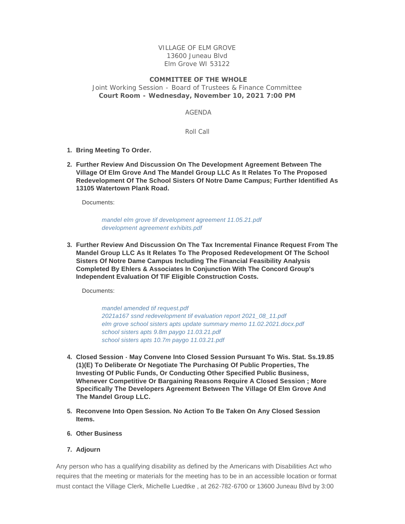VILLAGE OF ELM GROVE 13600 Juneau Blvd Elm Grove WI 53122

## **COMMITTEE OF THE WHOLE**

Joint Working Session - Board of Trustees & Finance Committee **Court Room - Wednesday, November 10, 2021 7:00 PM**

AGENDA

Roll Call

- **Bring Meeting To Order. 1.**
- **Further Review And Discussion On The Development Agreement Between The 2. Village Of Elm Grove And The Mandel Group LLC As It Relates To The Proposed Redevelopment Of The School Sisters Of Notre Dame Campus; Further Identified As 13105 Watertown Plank Road.**

Documents:

*[mandel elm grove tif development agreement 11.05.21.pdf](https://elmgrovewi.org/AgendaCenter/ViewFile/Item/11113?fileID=17065) [development agreement exhibits.pdf](https://elmgrovewi.org/AgendaCenter/ViewFile/Item/11113?fileID=17066)*

**Further Review And Discussion On The Tax Incremental Finance Request From The 3. Mandel Group LLC As It Relates To The Proposed Redevelopment Of The School Sisters Of Notre Dame Campus Including The Financial Feasibility Analysis Completed By Ehlers & Associates In Conjunction With The Concord Group's Independent Evaluation Of TIF Eligible Construction Costs.**

Documents:

*[mandel amended tif request.pdf](https://elmgrovewi.org/AgendaCenter/ViewFile/Item/11112?fileID=17054) [2021a167 ssnd redevelopment tif evaluation report 2021\\_08\\_11.pdf](https://elmgrovewi.org/AgendaCenter/ViewFile/Item/11112?fileID=17059) [elm grove school sisters apts update summary memo 11.02.2021.docx.pdf](https://elmgrovewi.org/AgendaCenter/ViewFile/Item/11112?fileID=17060) [school sisters apts 9.8m paygo 11.03.21.pdf](https://elmgrovewi.org/AgendaCenter/ViewFile/Item/11112?fileID=17061) [school sisters apts 10.7m paygo 11.03.21.pdf](https://elmgrovewi.org/AgendaCenter/ViewFile/Item/11112?fileID=17062)*

- **Closed Session May Convene Into Closed Session Pursuant To Wis. Stat. Ss.19.85 4. (1)(E) To Deliberate Or Negotiate The Purchasing Of Public Properties, The Investing Of Public Funds, Or Conducting Other Specified Public Business, Whenever Competitive Or Bargaining Reasons Require A Closed Session ; More Specifically The Developers Agreement Between The Village Of Elm Grove And The Mandel Group LLC.**
- **Reconvene Into Open Session. No Action To Be Taken On Any Closed Session 5. Items.**
- **Other Business 6.**
- **Adjourn 7.**

Any person who has a qualifying disability as defined by the Americans with Disabilities Act who requires that the meeting or materials for the meeting has to be in an accessible location or format must contact the Village Clerk, Michelle Luedtke , at 262-782-6700 or 13600 Juneau Blvd by 3:00